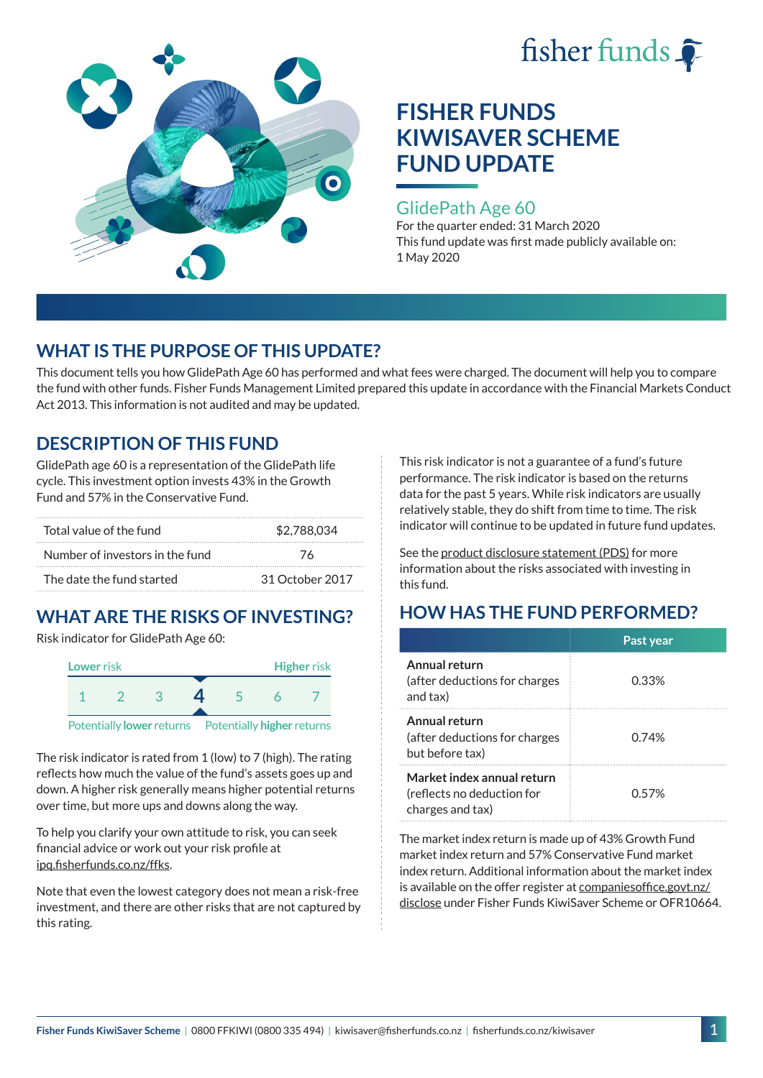



### GlidePath Age 60

For the quarter ended: 31 March 2020 This fund update was first made publicly available on: 1 May 2020

## **WHAT IS THE PURPOSE OF THIS UPDATE?**

This document tells you how GlidePath Age 60 has performed and what fees were charged. The document will help you to compare the fund with other funds. Fisher Funds Management Limited prepared this update in accordance with the Financial Markets Conduct Act 2013. This information is not audited and may be updated.

## **DESCRIPTION OF THIS FUND**

GlidePath age 60 is a representation of the GlidePath life cycle. This investment option invests 43% in the Growth Fund and 57% in the Conservative Fund.

| Total value of the fund         | \$2,788,034     |  |
|---------------------------------|-----------------|--|
| Number of investors in the fund | 76              |  |
| The date the fund started       | 31 October 2017 |  |

# **WHAT ARE THE RISKS OF INVESTING?**

Risk indicator for GlidePath Age 60:



The risk indicator is rated from 1 (low) to 7 (high). The rating

reflects how much the value of the fund's assets goes up and down. A higher risk generally means higher potential returns over time, but more ups and downs along the way.

To help you clarify your own attitude to risk, you can seek financial advice or work out your risk profile at [ipq.fisherfunds.co.nz/ffks](https://ipq.fisherfunds.co.nz/ffks).

Note that even the lowest category does not mean a risk-free investment, and there are other risks that are not captured by this rating.

This risk indicator is not a guarantee of a fund's future performance. The risk indicator is based on the returns data for the past 5 years. While risk indicators are usually relatively stable, they do shift from time to time. The risk indicator will continue to be updated in future fund updates.

See the [product disclosure statement \(PDS\)](https://fisherfunds.co.nz/assets/PDS/Fisher-Funds-KiwiSaver-Scheme-PDS.pdf) for more information about the risks associated with investing in this fund.

# **HOW HAS THE FUND PERFORMED?**

|                                                                              | Past year |
|------------------------------------------------------------------------------|-----------|
| Annual return<br>(after deductions for charges<br>and tax)                   | 0.33%     |
| Annual return<br>(after deductions for charges<br>but before tax)            | 0.74%     |
| Market index annual return<br>(reflects no deduction for<br>charges and tax) | 0.57%     |

The market index return is made up of 43% Growth Fund market index return and 57% Conservative Fund market index return. Additional information about the market index is available on the offer register at [companiesoffice.govt.nz/](http://companiesoffice.govt.nz/disclose) [disclose](http://companiesoffice.govt.nz/disclose) under Fisher Funds KiwiSaver Scheme or OFR10664.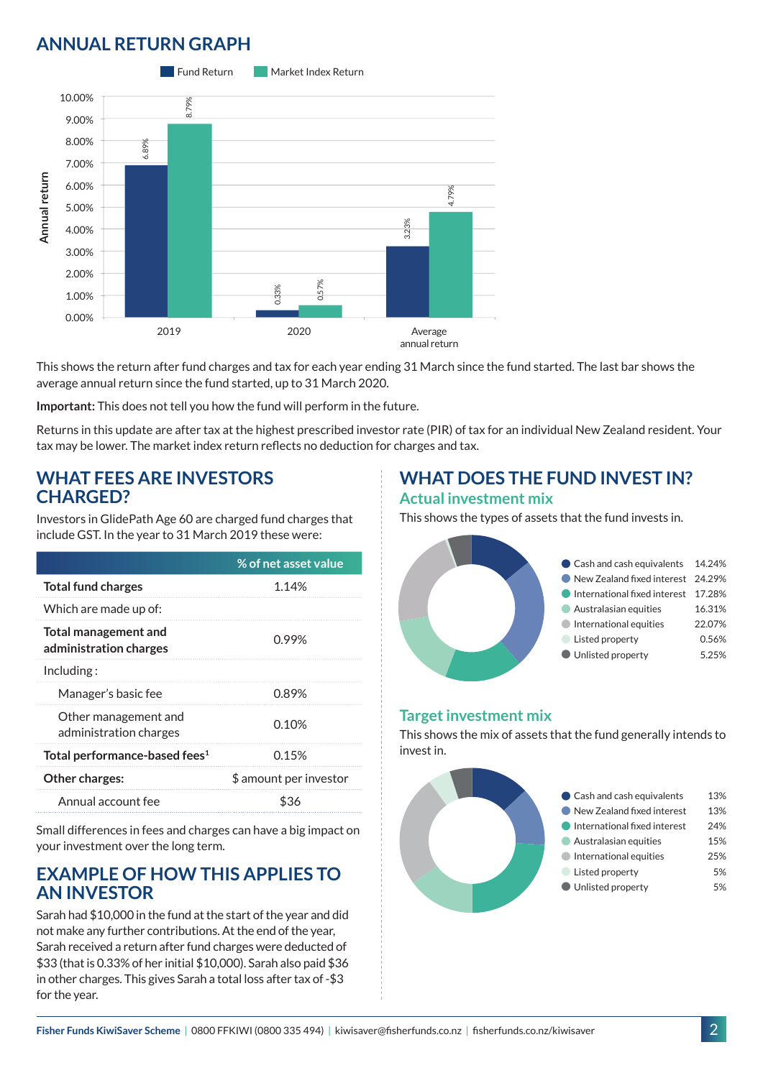## **ANNUAL RETURN GRAPH**



This shows the return after fund charges and tax for each year ending 31 March since the fund started. The last bar shows the average annual return since the fund started, up to 31 March 2020.

**Important:** This does not tell you how the fund will perform in the future.

Returns in this update are after tax at the highest prescribed investor rate (PIR) of tax for an individual New Zealand resident. Your tax may be lower. The market index return reflects no deduction for charges and tax.

#### **WHAT FEES ARE INVESTORS CHARGED?**

Investors in GlidePath Age 60 are charged fund charges that include GST. In the year to 31 March 2019 these were:

|                                                | % of net asset value   |
|------------------------------------------------|------------------------|
| <b>Total fund charges</b>                      | 1.14%                  |
| Which are made up of:                          |                        |
| Total management and<br>administration charges | በ 99%                  |
| Including:                                     |                        |
| Manager's basic fee                            | 0.89%                  |
| Other management and<br>administration charges | 0.10%                  |
| Total performance-based fees <sup>1</sup>      | 0.15%                  |
| <b>Other charges:</b>                          | \$ amount per investor |
| Annual account fee                             | \$36                   |

Small differences in fees and charges can have a big impact on your investment over the long term.

### **EXAMPLE OF HOW THIS APPLIES TO AN INVESTOR**

Sarah had \$10,000 in the fund at the start of the year and did not make any further contributions. At the end of the year, Sarah received a return after fund charges were deducted of \$33 (that is 0.33% of her initial \$10,000). Sarah also paid \$36 in other charges. This gives Sarah a total loss after tax of -\$3 for the year.

#### **WHAT DOES THE FUND INVEST IN? Actual investment mix**

This shows the types of assets that the fund invests in.



#### **Target investment mix**

This shows the mix of assets that the fund generally intends to invest in.